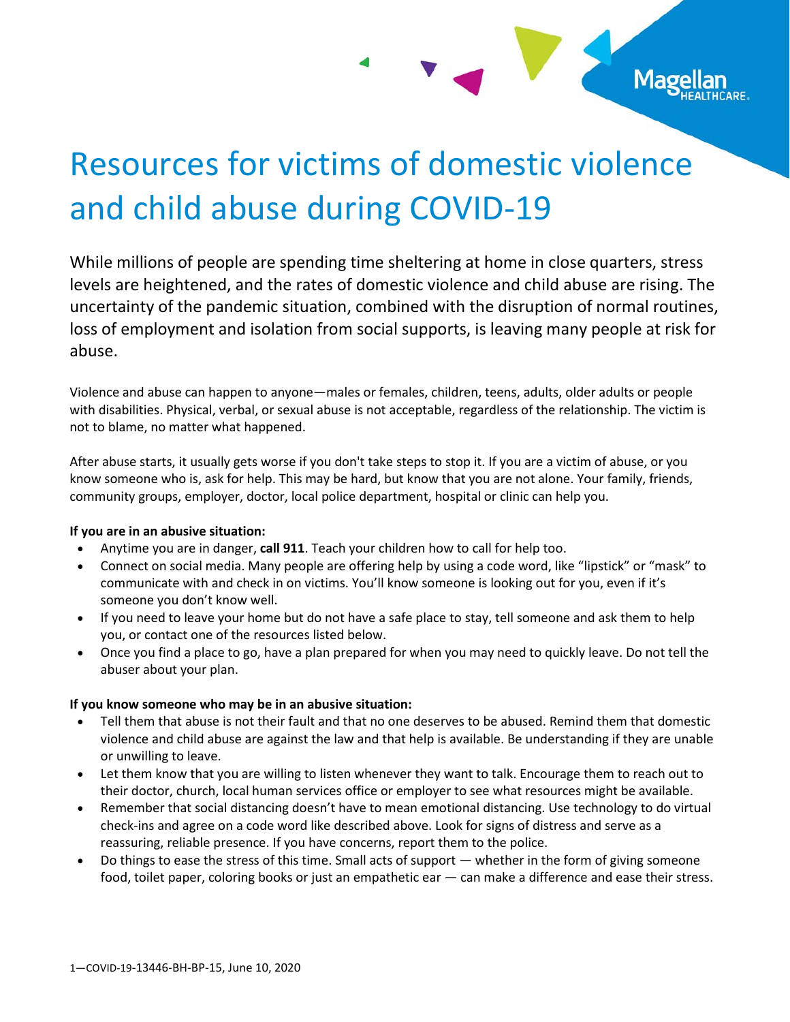# Resources for victims of domestic violence and child abuse during COVID-19

While millions of people are spending time sheltering at home in close quarters, stress levels are heightened, and the rates of domestic violence and child abuse are rising. The uncertainty of the pandemic situation, combined with the disruption of normal routines, loss of employment and isolation from social supports, is leaving many people at risk for abuse.

Violence and abuse can happen to anyone—males or females, children, teens, adults, older adults or people with disabilities. Physical, verbal, or sexual abuse is not acceptable, regardless of the relationship. The victim is not to blame, no matter what happened.

After abuse starts, it usually gets worse if you don't take steps to stop it. If you are a victim of abuse, or you know someone who is, ask for help. This may be hard, but know that you are not alone. Your family, friends, community groups, employer, doctor, local police department, hospital or clinic can help you.

# **If you are in an abusive situation:**

- Anytime you are in danger, **call 911**. Teach your children how to call for help too.
- Connect on social media. Many people are offering help by using a code word, like "lipstick" or "mask" to communicate with and check in on victims. You'll know someone is looking out for you, even if it's someone you don't know well.
- If you need to leave your home but do not have a safe place to stay, tell someone and ask them to help you, or contact one of the resources listed below.
- Once you find a place to go, have a plan prepared for when you may need to quickly leave. Do not tell the abuser about your plan.

# **If you know someone who may be in an abusive situation:**

- Tell them that abuse is not their fault and that no one deserves to be abused. Remind them that domestic violence and child abuse are against the law and that help is available. Be understanding if they are unable or unwilling to leave.
- Let them know that you are willing to listen whenever they want to talk. Encourage them to reach out to their doctor, church, local human services office or employer to see what resources might be available.
- Remember that social distancing doesn't have to mean emotional distancing. Use technology to do virtual check-ins and agree on a code word like described above. Look for signs of distress and serve as a reassuring, reliable presence. If you have concerns, report them to the police.
- Do things to ease the stress of this time. Small acts of support whether in the form of giving someone food, toilet paper, coloring books or just an empathetic ear — can make a difference and ease their stress.